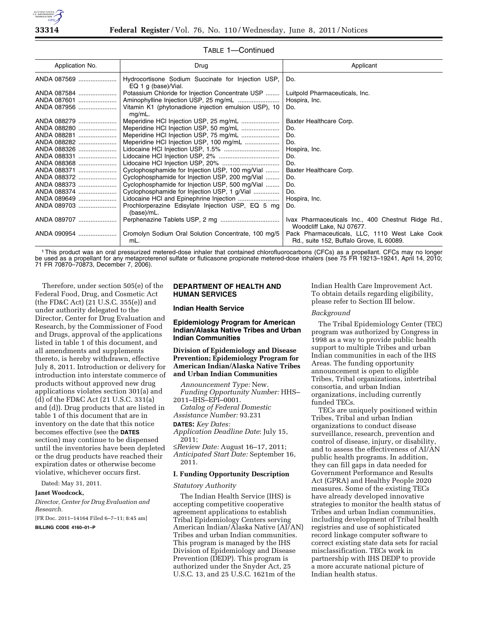

| Application No. | Drug                                                                      | Applicant                                                                                  |
|-----------------|---------------------------------------------------------------------------|--------------------------------------------------------------------------------------------|
| ANDA 087569     | Hydrocortisone Sodium Succinate for Injection USP,<br>EQ 1 g (base)/Vial. | Do.                                                                                        |
| ANDA 087584     | Potassium Chloride for Injection Concentrate USP                          | Luitpold Pharmaceuticals, Inc.                                                             |
| ANDA 087601     |                                                                           | Hospira, Inc.                                                                              |
| ANDA 087956     | Vitamin K1 (phytonadione injection emulsion USP), 10<br>$mq/mL$ .         | Do.                                                                                        |
| ANDA 088279     | Meperidine HCl Injection USP, 25 mg/mL                                    | Baxter Healthcare Corp.                                                                    |
| ANDA 088280     |                                                                           | Do.                                                                                        |
| ANDA 088281     |                                                                           | Do.                                                                                        |
| ANDA 088282     |                                                                           | Do.                                                                                        |
| ANDA 088326     |                                                                           | Hospira, Inc.                                                                              |
| ANDA 088331     |                                                                           | Do.                                                                                        |
| ANDA 088368     |                                                                           | Do.                                                                                        |
| ANDA 088371     | Cyclophosphamide for Injection USP, 100 mg/Vial                           | Baxter Healthcare Corp.                                                                    |
| ANDA 088372     | Cyclophosphamide for Injection USP, 200 mg/Vial                           | Do.                                                                                        |
| ANDA 088373     | Cyclophosphamide for Injection USP, 500 mg/Vial                           | Do.                                                                                        |
| ANDA 088374     | Cyclophosphamide for Injection USP, 1 g/Vial                              | Do.                                                                                        |
| ANDA 089649     |                                                                           | Hospira, Inc.                                                                              |
| ANDA 089703     | Prochlorperazine Edisylate Injection USP, EQ 5 mg<br>(base)/mL.           | Do.                                                                                        |
| ANDA 089707     |                                                                           | Ivax Pharmaceuticals Inc., 400 Chestnut Ridge Rd.,<br>Woodcliff Lake, NJ 07677.            |
| ANDA 090954     | Cromolyn Sodium Oral Solution Concentrate, 100 mg/5<br>mL.                | Pack Pharmaceuticals, LLC, 1110 West Lake Cook<br>Rd., suite 152, Buffalo Grove, IL 60089. |

# TABLE 1—Continued

1This product was an oral pressurized metered-dose inhaler that contained chlorofluorocarbons (CFCs) as a propellant. CFCs may no longer be used as a propellant for any metaproterenol sulfate or fluticasone propionate metered-dose inhalers (see 75 FR 19213–19241, April 14, 2010; 71 FR 70870–70873, December 7, 2006).

Therefore, under section 505(e) of the Federal Food, Drug, and Cosmetic Act (the FD&C Act) (21 U.S.C. 355(e)) and under authority delegated to the Director, Center for Drug Evaluation and Research, by the Commissioner of Food and Drugs, approval of the applications listed in table 1 of this document, and all amendments and supplements thereto, is hereby withdrawn, effective July 8, 2011. Introduction or delivery for introduction into interstate commerce of products without approved new drug applications violates section 301(a) and (d) of the FD&C Act (21 U.S.C. 331(a) and (d)). Drug products that are listed in table 1 of this document that are in inventory on the date that this notice becomes effective (see the **DATES** section) may continue to be dispensed until the inventories have been depleted or the drug products have reached their expiration dates or otherwise become violative, whichever occurs first.

Dated: May 31, 2011.

# **Janet Woodcock,**

*Director, Center for Drug Evaluation and Research.* 

[FR Doc. 2011–14164 Filed 6–7–11; 8:45 am] **BILLING CODE 4160–01–P** 

# **DEPARTMENT OF HEALTH AND HUMAN SERVICES**

## **Indian Health Service**

# **Epidemiology Program for American Indian/Alaska Native Tribes and Urban Indian Communities**

**Division of Epidemiology and Disease Prevention; Epidemiology Program for American Indian/Alaska Native Tribes and Urban Indian Communities** 

*Announcement Type:* New. *Funding Opportunity Number:* HHS– 2011–IHS–EPI–0001.

*Catalog of Federal Domestic Assistance Number:* 93.231

# **DATES:** *Key Dates:*

*Application Deadline Date*: July 15, 2011;

≤*Review Date:* August 16–17, 2011; *Anticipated Start Date:* September 16,

2011.

# **I. Funding Opportunity Description**

## *Statutory Authority*

The Indian Health Service (IHS) is accepting competitive cooperative agreement applications to establish Tribal Epidemiology Centers serving American Indian/Alaska Native (AI/AN) Tribes and urban Indian communities. This program is managed by the IHS Division of Epidemiology and Disease Prevention (DEDP). This program is authorized under the Snyder Act, 25 U.S.C. 13, and 25 U.S.C. 1621m of the

Indian Health Care Improvement Act. To obtain details regarding eligibility, please refer to Section III below.

## *Background*

The Tribal Epidemiology Center (TEC) program was authorized by Congress in 1998 as a way to provide public health support to multiple Tribes and urban Indian communities in each of the IHS Areas. The funding opportunity announcement is open to eligible Tribes, Tribal organizations, intertribal consortia, and urban Indian organizations, including currently funded TECs.

TECs are uniquely positioned within Tribes, Tribal and urban Indian organizations to conduct disease surveillance, research, prevention and control of disease, injury, or disability, and to assess the effectiveness of AI/AN public health programs. In addition, they can fill gaps in data needed for Government Performance and Results Act (GPRA) and Healthy People 2020 measures. Some of the existing TECs have already developed innovative strategies to monitor the health status of Tribes and urban Indian communities, including development of Tribal health registries and use of sophisticated record linkage computer software to correct existing state data sets for racial misclassification. TECs work in partnership with IHS DEDP to provide a more accurate national picture of Indian health status.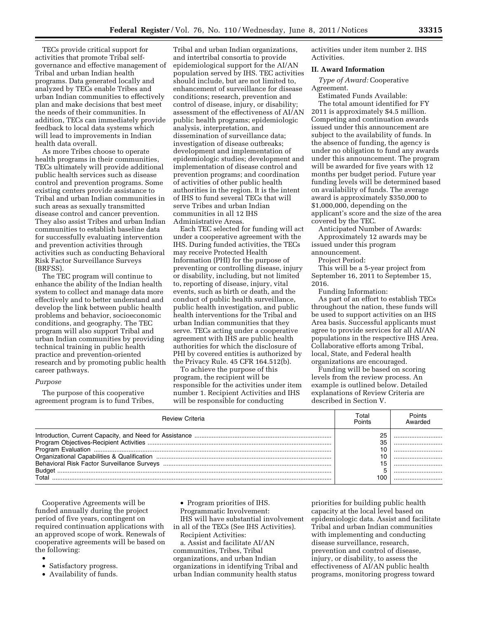TECs provide critical support for activities that promote Tribal selfgovernance and effective management of Tribal and urban Indian health programs. Data generated locally and analyzed by TECs enable Tribes and urban Indian communities to effectively plan and make decisions that best meet the needs of their communities. In addition, TECs can immediately provide feedback to local data systems which will lead to improvements in Indian health data overall.

As more Tribes choose to operate health programs in their communities, TECs ultimately will provide additional public health services such as disease control and prevention programs. Some existing centers provide assistance to Tribal and urban Indian communities in such areas as sexually transmitted disease control and cancer prevention. They also assist Tribes and urban Indian communities to establish baseline data for successfully evaluating intervention and prevention activities through activities such as conducting Behavioral Risk Factor Surveillance Surveys (BRFSS).

The TEC program will continue to enhance the ability of the Indian health system to collect and manage data more effectively and to better understand and develop the link between public health problems and behavior, socioeconomic conditions, and geography. The TEC program will also support Tribal and urban Indian communities by providing technical training in public health practice and prevention-oriented research and by promoting public health career pathways.

## *Purpose*

The purpose of this cooperative agreement program is to fund Tribes,

Tribal and urban Indian organizations, and intertribal consortia to provide epidemiological support for the AI/AN population served by IHS. TEC activities should include, but are not limited to, enhancement of surveillance for disease conditions; research, prevention and control of disease, injury, or disability; assessment of the effectiveness of AI/AN public health programs; epidemiologic analysis, interpretation, and dissemination of surveillance data; investigation of disease outbreaks; development and implementation of epidemiologic studies; development and implementation of disease control and prevention programs; and coordination of activities of other public health authorities in the region. It is the intent of IHS to fund several TECs that will serve Tribes and urban Indian communities in all 12 IHS Administrative Areas.

Each TEC selected for funding will act under a cooperative agreement with the IHS. During funded activities, the TECs may receive Protected Health Information (PHI) for the purpose of preventing or controlling disease, injury or disability, including, but not limited to, reporting of disease, injury, vital events, such as birth or death, and the conduct of public health surveillance, public health investigation, and public health interventions for the Tribal and urban Indian communities that they serve. TECs acting under a cooperative agreement with IHS are public health authorities for which the disclosure of PHI by covered entities is authorized by the Privacy Rule. 45 CFR 164.512(b).

To achieve the purpose of this program, the recipient will be responsible for the activities under item number 1. Recipient Activities and IHS will be responsible for conducting

activities under item number 2. IHS Activities.

# **II. Award Information**

*Type of Award:* Cooperative Agreement.

Estimated Funds Available: The total amount identified for FY 2011 is approximately \$4.5 million. Competing and continuation awards issued under this announcement are subject to the availability of funds. In the absence of funding, the agency is under no obligation to fund any awards under this announcement. The program will be awarded for five years with 12 months per budget period. Future year funding levels will be determined based on availability of funds. The average award is approximately \$350,000 to \$1,000,000, depending on the applicant's score and the size of the area covered by the TEC.

Anticipated Number of Awards: Approximately 12 awards may be issued under this program announcement.

Project Period:

This will be a 5-year project from September 16, 2011 to September 15, 2016.

Funding Information:

As part of an effort to establish TECs throughout the nation, these funds will be used to support activities on an IHS Area basis. Successful applicants must agree to provide services for all AI/AN populations in the respective IHS Area. Collaborative efforts among Tribal, local, State, and Federal health organizations are encouraged.

Funding will be based on scoring levels from the review process. An example is outlined below. Detailed explanations of Review Criteria are described in Section V.

| <b>Review Criteria</b> | Total<br>Points | Points<br>Awarded |
|------------------------|-----------------|-------------------|
|                        | 25              |                   |
|                        | 35              |                   |
|                        |                 |                   |
|                        |                 |                   |
|                        |                 |                   |
|                        |                 |                   |
| Total                  | 100             |                   |

Cooperative Agreements will be funded annually during the project period of five years, contingent on required continuation applications with an approved scope of work. Renewals of cooperative agreements will be based on the following:

- Satisfactory progress.
- Availability of funds.

• Program priorities of IHS.

Programmatic Involvement: IHS will have substantial involvement in all of the TECs (See IHS Activities).

Recipient Activities:

a. Assist and facilitate AI/AN communities, Tribes, Tribal organizations, and urban Indian organizations in identifying Tribal and urban Indian community health status

priorities for building public health capacity at the local level based on epidemiologic data. Assist and facilitate Tribal and urban Indian communities with implementing and conducting disease surveillance, research, prevention and control of disease, injury, or disability, to assess the effectiveness of AI/AN public health programs, monitoring progress toward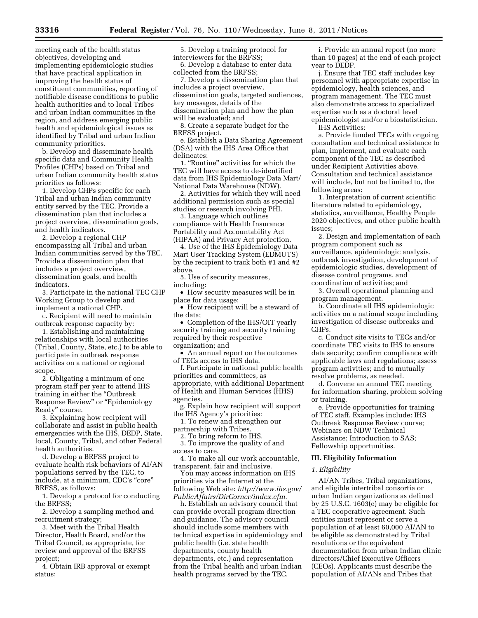meeting each of the health status objectives, developing and implementing epidemiologic studies that have practical application in improving the health status of constituent communities, reporting of notifiable disease conditions to public health authorities and to local Tribes and urban Indian communities in the region, and address emerging public health and epidemiological issues as identified by Tribal and urban Indian community priorities.

b. Develop and disseminate health specific data and Community Health Profiles (CHPs) based on Tribal and urban Indian community health status priorities as follows:

1. Develop CHPs specific for each Tribal and urban Indian community entity served by the TEC. Provide a dissemination plan that includes a project overview, dissemination goals, and health indicators.

2. Develop a regional CHP encompassing all Tribal and urban Indian communities served by the TEC. Provide a dissemination plan that includes a project overview, dissemination goals, and health indicators.

3. Participate in the national TEC CHP Working Group to develop and implement a national CHP.

c. Recipient will need to maintain outbreak response capacity by:

1. Establishing and maintaining relationships with local authorities (Tribal, County, State, etc.) to be able to participate in outbreak response activities on a national or regional scope.

2. Obligating a minimum of one program staff per year to attend IHS training in either the ''Outbreak Response Review'' or ''Epidemiology Ready'' course.

3. Explaining how recipient will collaborate and assist in public health emergencies with the IHS, DEDP, State, local, County, Tribal, and other Federal health authorities.

d. Develop a BRFSS project to evaluate health risk behaviors of AI/AN populations served by the TEC, to include, at a minimum, CDC's ''core'' BRFSS, as follows:

1. Develop a protocol for conducting the BRFSS;

2. Develop a sampling method and recruitment strategy;

3. Meet with the Tribal Health Director, Health Board, and/or the Tribal Council, as appropriate, for review and approval of the BRFSS project;

4. Obtain IRB approval or exempt status;

5. Develop a training protocol for interviewers for the BRFSS;

6. Develop a database to enter data collected from the BRFSS;

7. Develop a dissemination plan that includes a project overview, dissemination goals, targeted audiences, key messages, details of the dissemination plan and how the plan will be evaluated; and

8. Create a separate budget for the BRFSS project.

e. Establish a Data Sharing Agreement (DSA) with the IHS Area Office that delineates:

1. "Routine" activities for which the TEC will have access to de-identified data from IHS Epidemiology Data Mart/ National Data Warehouse (NDW).

2. Activities for which they will need additional permission such as special studies or research involving PHI.

3. Language which outlines compliance with Health Insurance Portability and Accountability Act (HIPAA) and Privacy Act protection.

4. Use of the IHS Epidemiology Data Mart User Tracking System (EDMUTS) by the recipient to track both #1 and #2 above.

5. Use of security measures, including:

• How security measures will be in place for data usage;

• How recipient will be a steward of the data;

• Completion of the IHS/OIT yearly security training and security training required by their respective organization; and

• An annual report on the outcomes of TECs access to IHS data.

f. Participate in national public health priorities and committees, as appropriate, with additional Department of Health and Human Services (HHS) agencies.

g. Explain how recipient will support the IHS Agency's priorities:

1. To renew and strengthen our partnership with Tribes.

2. To bring reform to IHS. 3. To improve the quality of and

access to care.

4. To make all our work accountable, transparent, fair and inclusive.

You may access information on IHS priorities via the Internet at the following Web site: *[http://www.ihs.gov/](http://www.ihs.gov/PublicAffairs/DirCorner/index.cfm) [PublicAffairs/DirCorner/index.cfm.](http://www.ihs.gov/PublicAffairs/DirCorner/index.cfm)* 

h. Establish an advisory council that can provide overall program direction and guidance. The advisory council should include some members with technical expertise in epidemiology and public health (i.e. state health departments, county health departments, etc.) and representation from the Tribal health and urban Indian health programs served by the TEC.

i. Provide an annual report (no more than 10 pages) at the end of each project year to DEDP.

j. Ensure that TEC staff includes key personnel with appropriate expertise in epidemiology, health sciences, and program management. The TEC must also demonstrate access to specialized expertise such as a doctoral level epidemiologist and/or a biostatistician.

IHS Activities:

a. Provide funded TECs with ongoing consultation and technical assistance to plan, implement, and evaluate each component of the TEC as described under Recipient Activities above. Consultation and technical assistance will include, but not be limited to, the following areas:

1. Interpretation of current scientific literature related to epidemiology, statistics, surveillance, Healthy People 2020 objectives, and other public health issues;

2. Design and implementation of each program component such as surveillance, epidemiologic analysis, outbreak investigation, development of epidemiologic studies, development of disease control programs, and coordination of activities; and

3. Overall operational planning and program management.

b. Coordinate all IHS epidemiologic activities on a national scope including investigation of disease outbreaks and CHPs.

c. Conduct site visits to TECs and/or coordinate TEC visits to IHS to ensure data security; confirm compliance with applicable laws and regulations; assess program activities; and to mutually resolve problems, as needed.

d. Convene an annual TEC meeting for information sharing, problem solving or training.

e. Provide opportunities for training of TEC staff. Examples include: IHS Outbreak Response Review course; Webinars on NDW Technical Assistance; Introduction to SAS; Fellowship opportunities.

## **III. Eligibility Information**

#### *1. Eligibility*

AI/AN Tribes, Tribal organizations, and eligible intertribal consortia or urban Indian organizations as defined by 25 U.S.C. 1603(e) may be eligible for a TEC cooperative agreement. Such entities must represent or serve a population of at least 60,000 AI/AN to be eligible as demonstrated by Tribal resolutions or the equivalent documentation from urban Indian clinic directors/Chief Executive Officers (CEOs). Applicants must describe the population of AI/ANs and Tribes that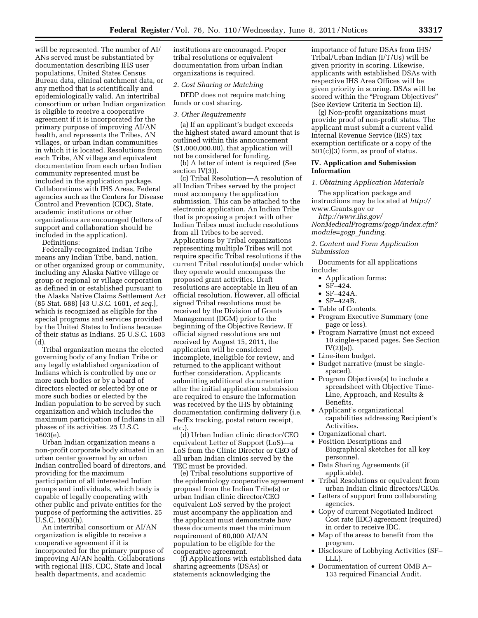will be represented. The number of AI/ ANs served must be substantiated by documentation describing IHS user populations, United States Census Bureau data, clinical catchment data, or any method that is scientifically and epidemiologically valid. An intertribal consortium or urban Indian organization is eligible to receive a cooperative agreement if it is incorporated for the primary purpose of improving AI/AN health, and represents the Tribes, AN villages, or urban Indian communities in which it is located. Resolutions from each Tribe, AN village and equivalent documentation from each urban Indian community represented must be included in the application package. Collaborations with IHS Areas, Federal agencies such as the Centers for Disease Control and Prevention (CDC), State, academic institutions or other organizations are encouraged (letters of support and collaboration should be included in the application).

Definitions:

Federally-recognized Indian Tribe means any Indian Tribe, band, nation, or other organized group or community, including any Alaska Native village or group or regional or village corporation as defined in or established pursuant to the Alaska Native Claims Settlement Act (85 Stat. 688) [43 U.S.C. 1601, *et seq.*], which is recognized as eligible for the special programs and services provided by the United States to Indians because of their status as Indians. 25 U.S.C. 1603  $(d)$ 

Tribal organization means the elected governing body of any Indian Tribe or any legally established organization of Indians which is controlled by one or more such bodies or by a board of directors elected or selected by one or more such bodies or elected by the Indian population to be served by such organization and which includes the maximum participation of Indians in all phases of its activities. 25 U.S.C. 1603(e).

Urban Indian organization means a non-profit corporate body situated in an urban center governed by an urban Indian controlled board of directors, and providing for the maximum participation of all interested Indian groups and individuals, which body is capable of legally cooperating with other public and private entities for the purpose of performing the activities. 25 U.S.C. 1603(h).

An intertribal consortium or AI/AN organization is eligible to receive a cooperative agreement if it is incorporated for the primary purpose of improving AI/AN health. Collaborations with regional IHS, CDC, State and local health departments, and academic

institutions are encouraged. Proper tribal resolutions or equivalent documentation from urban Indian organizations is required.

## *2. Cost Sharing or Matching*

DEDP does not require matching funds or cost sharing.

### *3. Other Requirements*

(a) If an applicant's budget exceeds the highest stated award amount that is outlined within this announcement (\$1,000,000.00), that application will not be considered for funding.

(b) A letter of intent is required (See section IV(3)).

(c) Tribal Resolution—A resolution of all Indian Tribes served by the project must accompany the application submission. This can be attached to the electronic application. An Indian Tribe that is proposing a project with other Indian Tribes must include resolutions from all Tribes to be served. Applications by Tribal organizations representing multiple Tribes will not require specific Tribal resolutions if the current Tribal resolution(s) under which they operate would encompass the proposed grant activities. Draft resolutions are acceptable in lieu of an official resolution. However, all official signed Tribal resolutions must be received by the Division of Grants Management (DGM) prior to the beginning of the Objective Review. If official signed resolutions are not received by August 15, 2011, the application will be considered incomplete, ineligible for review, and returned to the applicant without further consideration. Applicants submitting additional documentation after the initial application submission are required to ensure the information was received by the IHS by obtaining documentation confirming delivery (i.e. FedEx tracking, postal return receipt, etc.

(d) Urban Indian clinic director/CEO equivalent Letter of Support (LoS)—a LoS from the Clinic Director or CEO of all urban Indian clinics served by the TEC must be provided.

(e) Tribal resolutions supportive of the epidemiology cooperative agreement proposal from the Indian Tribe(s) or urban Indian clinic director/CEO equivalent LoS served by the project must accompany the application and the applicant must demonstrate how these documents meet the minimum requirement of 60,000 AI/AN population to be eligible for the cooperative agreement.

(f) Applications with established data sharing agreements (DSAs) or statements acknowledging the

importance of future DSAs from IHS/ Tribal/Urban Indian (I/T/Us) will be given priority in scoring. Likewise, applicants with established DSAs with respective IHS Area Offices will be given priority in scoring. DSAs will be scored within the "Program Objectives" (See Review Criteria in Section II).

(g) Non-profit organizations must provide proof of non-profit status. The applicant must submit a current valid Internal Revenue Service (IRS) tax exemption certificate or a copy of the 501(c)(3) form, as proof of status.

# **IV. Application and Submission Information**

#### *1. Obtaining Application Materials*

The application package and instructions may be located at *http://*  www.Grants.gov or

*[http://www.ihs.gov/](http://www.ihs.gov/NonMedicalPrograms/gogp/index.cfm?module=gogp_funding) [NonMedicalPrograms/gogp/index.cfm?](http://www.ihs.gov/NonMedicalPrograms/gogp/index.cfm?module=gogp_funding) [module=gogp](http://www.ihs.gov/NonMedicalPrograms/gogp/index.cfm?module=gogp_funding)*\_*funding.* 

*2. Content and Form Application Submission* 

Documents for all applications include:

- Application forms:
- SF–424.
- SF–424A.
- SF–424B.
- Table of Contents.
- Program Executive Summary (one page or less).
- Program Narrative (must not exceed 10 single-spaced pages. See Section  $IV(2)(a)$ ).
- Line-item budget.
- Budget narrative (must be singlespaced).
- Program Objectives(s) to include a spreadsheet with Objective Time-Line, Approach, and Results & Benefits.
- Applicant's organizational capabilities addressing Recipient's Activities.
- Organizational chart.
- Position Descriptions and Biographical sketches for all key personnel.
- Data Sharing Agreements (if applicable).
- Tribal Resolutions or equivalent from urban Indian clinic directors/CEOs.
- Letters of support from collaborating agencies.
- Copy of current Negotiated Indirect Cost rate (IDC) agreement (required) in order to receive IDC.
- Map of the areas to benefit from the program.
- Disclosure of Lobbying Activities (SF– LLL).
- Documentation of current OMB A– 133 required Financial Audit.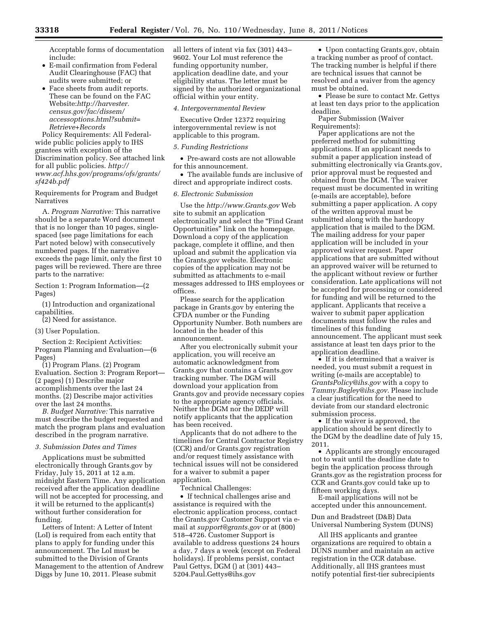Acceptable forms of documentation include:

- E-mail confirmation from Federal Audit Clearinghouse (FAC) that audits were submitted; or
- Face sheets from audit reports. These can be found on the FAC Website:*[http://harvester.](http://harvester.census.gov/fac/dissem/accessoptions.html?submit=Retrieve+Records) [census.gov/fac/dissem/](http://harvester.census.gov/fac/dissem/accessoptions.html?submit=Retrieve+Records)  [accessoptions.html?submit=](http://harvester.census.gov/fac/dissem/accessoptions.html?submit=Retrieve+Records) [Retrieve+Records](http://harvester.census.gov/fac/dissem/accessoptions.html?submit=Retrieve+Records)*

Policy Requirements: All Federalwide public policies apply to IHS grantees with exception of the Discrimination policy. See attached link for all public policies. *[http://](http://www.acf.hhs.gov/programs/ofs/grants/sf424b.pdf)  [www.acf.hhs.gov/programs/ofs/grants/](http://www.acf.hhs.gov/programs/ofs/grants/sf424b.pdf) [sf424b.pdf](http://www.acf.hhs.gov/programs/ofs/grants/sf424b.pdf)* 

Requirements for Program and Budget Narratives

A. *Program Narrative:* This narrative should be a separate Word document that is no longer than 10 pages, singlespaced (see page limitations for each Part noted below) with consecutively numbered pages. If the narrative exceeds the page limit, only the first 10 pages will be reviewed. There are three parts to the narrative:

Section 1: Program Information—(2 Pages)

(1) Introduction and organizational capabilities.

(2) Need for assistance.

#### (3) User Population.

Section 2: Recipient Activities: Program Planning and Evaluation—(6 Pages)

(1) Program Plans. (2) Program Evaluation. Section 3: Program Report— (2 pages) (1) Describe major accomplishments over the last 24 months. (2) Describe major activities over the last 24 months.

*B. Budget Narrative:* This narrative must describe the budget requested and match the program plans and evaluation described in the program narrative.

#### *3. Submission Dates and Times*

Applications must be submitted electronically through Grants.gov by Friday, July 15, 2011 at 12 a.m. midnight Eastern Time. Any application received after the application deadline will not be accepted for processing, and it will be returned to the applicant(s) without further consideration for funding.

Letters of Intent: A Letter of Intent (LoI) is required from each entity that plans to apply for funding under this announcement. The LoI must be submitted to the Division of Grants Management to the attention of Andrew Diggs by June 10, 2011. Please submit

all letters of intent via fax (301) 443– 9602. Your LoI must reference the funding opportunity number, application deadline date, and your eligibility status. The letter must be signed by the authorized organizational official within your entity.

#### *4. Intergovernmental Review*

Executive Order 12372 requiring intergovernmental review is not applicable to this program.

#### *5. Funding Restrictions*

• Pre-award costs are not allowable for this announcement.

• The available funds are inclusive of direct and appropriate indirect costs.

# *6. Electronic Submission*

Use the *<http://www.Grants.gov>* Web site to submit an application electronically and select the "Find Grant" Opportunities'' link on the homepage. Download a copy of the application package, complete it offline, and then upload and submit the application via the Grants.gov website. Electronic copies of the application may not be submitted as attachments to e-mail messages addressed to IHS employees or offices.

Please search for the application package in Grants.gov by entering the CFDA number or the Funding Opportunity Number. Both numbers are located in the header of this announcement.

After you electronically submit your application, you will receive an automatic acknowledgment from Grants.gov that contains a Grants.gov tracking number. The DGM will download your application from Grants.gov and provide necessary copies to the appropriate agency officials. Neither the DGM nor the DEDP will notify applicants that the application has been received.

Applicants that do not adhere to the timelines for Central Contractor Registry (CCR) and/or Grants.gov registration and/or request timely assistance with technical issues will not be considered for a waiver to submit a paper application.

Technical Challenges:

• If technical challenges arise and assistance is required with the electronic application process, contact the Grants.gov Customer Support via email at *[support@grants.gov](mailto:support@grants.gov)* or at (800) 518–4726. Customer Support is available to address questions 24 hours a day, 7 days a week (except on Federal holidays). If problems persist, contact Paul Gettys, DGM () at (301) 443– 520[4.Paul.Gettys@ihs.gov](mailto:Paul.Gettys@ihs.gov) 

• Upon contacting Grants.gov, obtain a tracking number as proof of contact. The tracking number is helpful if there are technical issues that cannot be resolved and a waiver from the agency must be obtained.

• Please be sure to contact Mr. Gettys at least ten days prior to the application deadline.

Paper Submission (Waiver Requirements):

Paper applications are not the preferred method for submitting applications. If an applicant needs to submit a paper application instead of submitting electronically via Grants.gov, prior approval must be requested and obtained from the DGM. The waiver request must be documented in writing (e-mails are acceptable), before submitting a paper application. A copy of the written approval must be submitted along with the hardcopy application that is mailed to the DGM. The mailing address for your paper application will be included in your approved waiver request. Paper applications that are submitted without an approved waiver will be returned to the applicant without review or further consideration. Late applications will not be accepted for processing or considered for funding and will be returned to the applicant. Applicants that receive a waiver to submit paper application documents must follow the rules and timelines of this funding announcement. The applicant must seek assistance at least ten days prior to the application deadline.

• If it is determined that a waiver is needed, you must submit a request in writing (e-mails are acceptable) to *[GrantsPolicy@ihs.gov](mailto:GrantsPolicy@ihs.gov)* with a copy to *[Tammy.Bagley@ihs.gov.](mailto:Tammy.Bagley@ihs.gov)* Please include a clear justification for the need to deviate from our standard electronic submission process.

• If the waiver is approved, the application should be sent directly to the DGM by the deadline date of July 15, 2011.

• Applicants are strongly encouraged not to wait until the deadline date to begin the application process through Grants.gov as the registration process for CCR and Grants.gov could take up to fifteen working days.

E-mail applications will not be accepted under this announcement.

Dun and Bradstreet (D&B) Data Universal Numbering System (DUNS)

All IHS applicants and grantee organizations are required to obtain a DUNS number and maintain an active registration in the CCR database. Additionally, all IHS grantees must notify potential first-tier subrecipients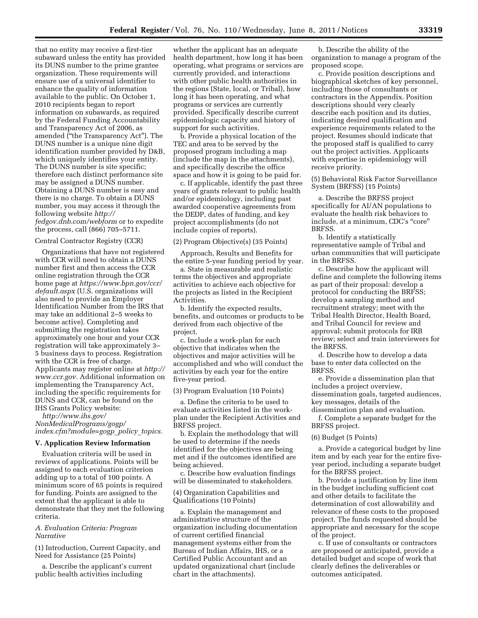that no entity may receive a first-tier subaward unless the entity has provided its DUNS number to the prime grantee organization. These requirements will ensure use of a universal identifier to enhance the quality of information available to the public. On October 1, 2010 recipients began to report information on subawards, as required by the Federal Funding Accountability and Transparency Act of 2006, as amended (''the Transparency Act''). The DUNS number is a unique nine digit identification number provided by D&B, which uniquely identifies your entity. The DUNS number is site specific; therefore each distinct performance site may be assigned a DUNS number. Obtaining a DUNS number is easy and there is no charge. To obtain a DUNS number, you may access it through the following website *[http://](http://fedgov.dnb.com/webform) [fedgov.dnb.com/webform](http://fedgov.dnb.com/webform)* or to expedite the process, call (866) 705–5711.

## Central Contractor Registry (CCR)

Organizations that have not registered with CCR will need to obtain a DUNS number first and then access the CCR online registration through the CCR home page at *[https://www.bpn.gov/ccr/](https://www.bpn.gov/ccr/default.aspx)  [default.aspx](https://www.bpn.gov/ccr/default.aspx)* (U.S. organizations will also need to provide an Employer Identification Number from the IRS that may take an additional 2–5 weeks to become active). Completing and submitting the registration takes approximately one hour and your CCR registration will take approximately 3– 5 business days to process. Registration with the CCR is free of charge. Applicants may register online at *[http://](http://www.ccr.gov) [www.ccr.gov.](http://www.ccr.gov)* Additional information on implementing the Transparency Act, including the specific requirements for DUNS and CCR, can be found on the IHS Grants Policy website:

*[http://www.ihs.gov/](http://www.ihs.gov/NonMedicalPrograms/gogp/index.cfm?module=gogp_policy_topics) [NonMedicalPrograms/gogp/](http://www.ihs.gov/NonMedicalPrograms/gogp/index.cfm?module=gogp_policy_topics) [index.cfm?module=gogp](http://www.ihs.gov/NonMedicalPrograms/gogp/index.cfm?module=gogp_policy_topics)*\_*policy*\_*topics.* 

## **V. Application Review Information**

Evaluation criteria will be used in reviews of applications. Points will be assigned to each evaluation criterion adding up to a total of 100 points. A minimum score of 65 points is required for funding. Points are assigned to the extent that the applicant is able to demonstrate that they met the following criteria.

## *A. Evaluation Criteria: Program Narrative*

(1) Introduction, Current Capacity, and Need for Assistance (25 Points)

a. Describe the applicant's current public health activities including

whether the applicant has an adequate health department, how long it has been operating, what programs or services are currently provided, and interactions with other public health authorities in the regions (State, local, or Tribal), how long it has been operating, and what programs or services are currently provided. Specifically describe current epidemiologic capacity and history of support for such activities.

b. Provide a physical location of the TEC and area to be served by the proposed program including a map (include the map in the attachments), and specifically describe the office space and how it is going to be paid for.

c. If applicable, identify the past three years of grants relevant to public health and/or epidemiology, including past awarded cooperative agreements from the DEDP, dates of funding, and key project accomplishments (do not include copies of reports).

# (2) Program Objective(s) (35 Points)

Approach, Results and Benefits for the entire 5-year funding period by year.

a. State in measurable and realistic terms the objectives and appropriate activities to achieve each objective for the projects as listed in the Recipient Activities.

b. Identify the expected results, benefits, and outcomes or products to be derived from each objective of the project.

c. Include a work-plan for each objective that indicates when the objectives and major activities will be accomplished and who will conduct the activities by each year for the entire five-year period.

## (3) Program Evaluation (10 Points)

a. Define the criteria to be used to evaluate activities listed in the workplan under the Recipient Activities and BRFSS project.

b. Explain the methodology that will be used to determine if the needs identified for the objectives are being met and if the outcomes identified are being achieved.

c. Describe how evaluation findings will be disseminated to stakeholders.

# (4) Organization Capabilities and Qualifications (10 Points)

a. Explain the management and administrative structure of the organization including documentation of current certified financial management systems either from the Bureau of Indian Affairs, IHS, or a Certified Public Accountant and an updated organizational chart (include chart in the attachments).

b. Describe the ability of the organization to manage a program of the proposed scope.

c. Provide position descriptions and biographical sketches of key personnel, including those of consultants or contractors in the Appendix. Position descriptions should very clearly describe each position and its duties, indicating desired qualification and experience requirements related to the project. Resumes should indicate that the proposed staff is qualified to carry out the project activities. Applicants with expertise in epidemiology will receive priority.

(5) Behavioral Risk Factor Surveillance System (BRFSS) (15 Points)

a. Describe the BRFSS project specifically for AI/AN populations to evaluate the health risk behaviors to include, at a minimum, CDC's ''core'' BRFSS.

b. Identify a statistically representative sample of Tribal and urban communities that will participate in the BRFSS.

c. Describe how the applicant will define and complete the following items as part of their proposal: develop a protocol for conducting the BRFSS; develop a sampling method and recruitment strategy; meet with the Tribal Health Director, Health Board, and Tribal Council for review and approval; submit protocols for IRB review; select and train interviewers for the BRFSS.

d. Describe how to develop a data base to enter data collected on the BRFSS.

e. Provide a dissemination plan that includes a project overview, dissemination goals, targeted audiences, key messages, details of the dissemination plan and evaluation.

f. Complete a separate budget for the BRFSS project.

### (6) Budget (5 Points)

a. Provide a categorical budget by line item and by each year for the entire fiveyear period, including a separate budget for the BRFSS project.

b. Provide a justification by line item in the budget including sufficient cost and other details to facilitate the determination of cost allowability and relevance of these costs to the proposed project. The funds requested should be appropriate and necessary for the scope of the project.

c. If use of consultants or contractors are proposed or anticipated, provide a detailed budget and scope of work that clearly defines the deliverables or outcomes anticipated.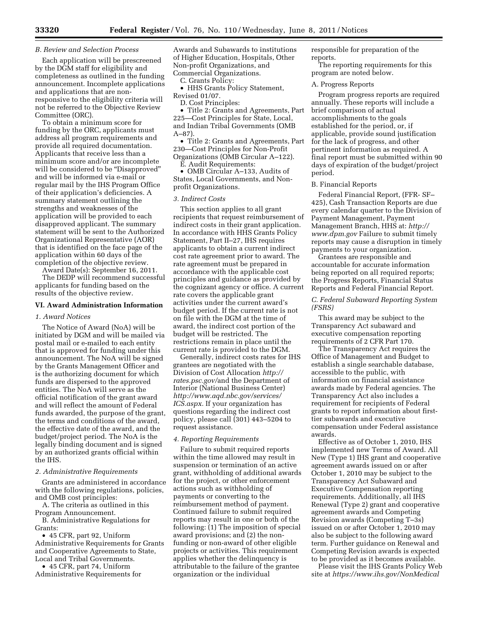# *B. Review and Selection Process*

Each application will be prescreened by the DGM staff for eligibility and completeness as outlined in the funding announcement. Incomplete applications and applications that are nonresponsive to the eligibility criteria will not be referred to the Objective Review Committee (ORC).

To obtain a minimum score for funding by the ORC, applicants must address all program requirements and provide all required documentation. Applicants that receive less than a minimum score and/or are incomplete will be considered to be ''Disapproved'' and will be informed via e-mail or regular mail by the IHS Program Office of their application's deficiencies. A summary statement outlining the strengths and weaknesses of the application will be provided to each disapproved applicant. The summary statement will be sent to the Authorized Organizational Representative (AOR) that is identified on the face page of the application within 60 days of the completion of the objective review.

Award Date(s): September 16, 2011.

The DEDP will recommend successful applicants for funding based on the results of the objective review.

# **VI. Award Administration Information**

## *1. Award Notices*

The Notice of Award (NoA) will be initiated by DGM and will be mailed via postal mail or e-mailed to each entity that is approved for funding under this announcement. The NoA will be signed by the Grants Management Officer and is the authorizing document for which funds are dispersed to the approved entities. The NoA will serve as the official notification of the grant award and will reflect the amount of Federal funds awarded, the purpose of the grant, the terms and conditions of the award, the effective date of the award, and the budget/project period. The NoA is the legally binding document and is signed by an authorized grants official within the IHS.

## *2. Administrative Requirements*

Grants are administered in accordance with the following regulations, policies, and OMB cost principles:

A. The criteria as outlined in this Program Announcement.

B. Administrative Regulations for Grants:

• 45 CFR, part 92, Uniform Administrative Requirements for Grants and Cooperative Agreements to State, Local and Tribal Governments.

• 45 CFR, part 74, Uniform Administrative Requirements for Awards and Subawards to institutions of Higher Education, Hospitals, Other Non-profit Organizations, and Commercial Organizations.

C. Grants Policy:

• HHS Grants Policy Statement, Revised 01/07.

D. Cost Principles:

• Title 2: Grants and Agreements, Part 225—Cost Principles for State, Local, and Indian Tribal Governments (OMB A–87).

• Title 2: Grants and Agreements, Part 230—Cost Principles for Non-Profit Organizations (OMB Circular A–122). E. Audit Requirements:

• OMB Circular A–133, Audits of States, Local Governments, and Nonprofit Organizations.

#### *3. Indirect Costs*

This section applies to all grant recipients that request reimbursement of indirect costs in their grant application. In accordance with HHS Grants Policy Statement, Part II–27, IHS requires applicants to obtain a current indirect cost rate agreement prior to award. The rate agreement must be prepared in accordance with the applicable cost principles and guidance as provided by the cognizant agency or office. A current rate covers the applicable grant activities under the current award's budget period. If the current rate is not on file with the DGM at the time of award, the indirect cost portion of the budget will be restricted. The restrictions remain in place until the current rate is provided to the DGM.

Generally, indirect costs rates for IHS grantees are negotiated with the [Division of Cost Allocation](http://rates.psc.gov/) *http:// rates.psc.gov/*and the Department of Interior (National Business Center) *[http://www.aqd.nbc.gov/services/](http://www.aqd.nbc.gov/services/ICS.aspx)  [ICS.aspx.](http://www.aqd.nbc.gov/services/ICS.aspx)* If your organization has questions regarding the indirect cost policy, please call (301) 443–5204 to request assistance.

#### *4. Reporting Requirements*

Failure to submit required reports within the time allowed may result in suspension or termination of an active grant, withholding of additional awards for the project, or other enforcement actions such as withholding of payments or converting to the reimbursement method of payment. Continued failure to submit required reports may result in one or both of the following: (1) The imposition of special award provisions; and (2) the nonfunding or non-award of other eligible projects or activities. This requirement applies whether the delinquency is attributable to the failure of the grantee organization or the individual

responsible for preparation of the reports.

The reporting requirements for this program are noted below.

A. Progress Reports

Program progress reports are required annually. These reports will include a brief comparison of actual accomplishments to the goals established for the period, or, if applicable, provide sound justification for the lack of progress, and other pertinent information as required. A final report must be submitted within 90 days of expiration of the budget/project period.

### B. Financial Reports

Federal Financial Report, (FFR- SF– 425), Cash Transaction Reports are due every calendar quarter to the Division of Payment Management, Payment Management Branch, HHS at: *[http://](http://www.dpm.gov)  [www.dpm.gov](http://www.dpm.gov)* Failure to submit timely reports may cause a disruption in timely payments to your organization.

Grantees are responsible and accountable for accurate information being reported on all required reports; the Progress Reports, Financial Status Reports and Federal Financial Report.

# *C. Federal Subaward Reporting System (FSRS)*

This award may be subject to the Transparency Act subaward and executive compensation reporting requirements of 2 CFR Part 170.

The Transparency Act requires the Office of Management and Budget to establish a single searchable database, accessible to the public, with information on financial assistance awards made by Federal agencies. The Transparency Act also includes a requirement for recipients of Federal grants to report information about firsttier subawards and executive compensation under Federal assistance awards.

Effective as of October 1, 2010, IHS implemented new Terms of Award. All New (Type 1) IHS grant and cooperative agreement awards issued on or after October 1, 2010 may be subject to the Transparency Act Subaward and Executive Compensation reporting requirements. Additionally, all IHS Renewal (Type 2) grant and cooperative agreement awards and Competing Revision awards (Competing T–3s) issued on or after October 1, 2010 may also be subject to the following award term. Further guidance on Renewal and Competing Revision awards is expected to be provided as it becomes available.

Please visit the IHS Grants Policy Web site at *<https://www.ihs.gov/NonMedical>*